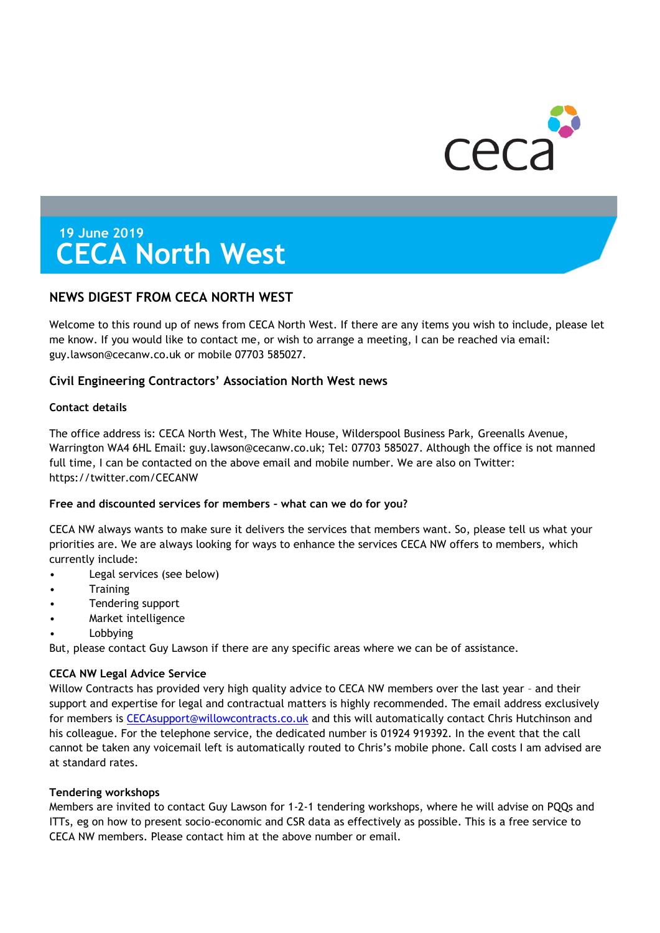

# **19 June 2019 CECA North West**

# **NEWS DIGEST FROM CECA NORTH WEST**

Welcome to this round up of news from CECA North West. If there are any items you wish to include, please let me know. If you would like to contact me, or wish to arrange a meeting, I can be reached via email: guy.lawson@cecanw.co.uk or mobile 07703 585027.

# **Civil Engineering Contractors' Association North West news**

# **Contact details**

The office address is: CECA North West, The White House, Wilderspool Business Park, Greenalls Avenue, Warrington WA4 6HL Email: guy.lawson@cecanw.co.uk; Tel: 07703 585027. Although the office is not manned full time, I can be contacted on the above email and mobile number. We are also on Twitter: https://twitter.com/CECANW

# **Free and discounted services for members – what can we do for you?**

CECA NW always wants to make sure it delivers the services that members want. So, please tell us what your priorities are. We are always looking for ways to enhance the services CECA NW offers to members, which currently include:

- Legal services (see below)
- **Training**
- Tendering support
- Market intelligence
- **Lobbying**

But, please contact Guy Lawson if there are any specific areas where we can be of assistance.

# **CECA NW Legal Advice Service**

Willow Contracts has provided very high quality advice to CECA NW members over the last year - and their support and expertise for legal and contractual matters is highly recommended. The email address exclusively for members is [CECAsupport@willowcontracts.co.uk](mailto:CECAsupport@willowcontracts.co.uk) and this will automatically contact Chris Hutchinson and his colleague. For the telephone service, the dedicated number is 01924 919392. In the event that the call cannot be taken any voicemail left is automatically routed to Chris's mobile phone. Call costs I am advised are at standard rates.

# **Tendering workshops**

Members are invited to contact Guy Lawson for 1-2-1 tendering workshops, where he will advise on PQQs and ITTs, eg on how to present socio-economic and CSR data as effectively as possible. This is a free service to CECA NW members. Please contact him at the above number or email.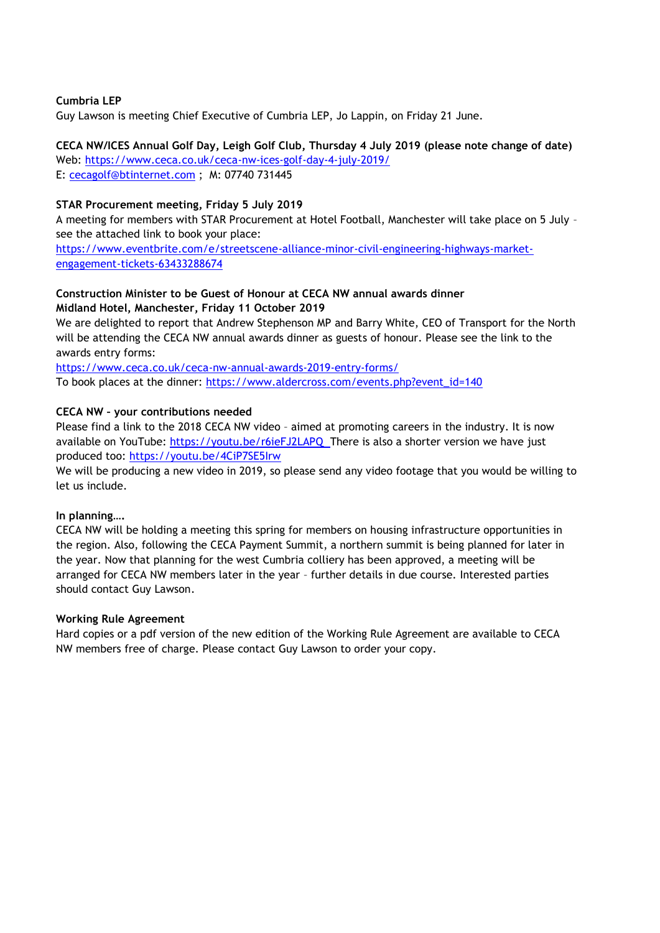# **Cumbria LEP**

Guy Lawson is meeting Chief Executive of Cumbria LEP, Jo Lappin, on Friday 21 June.

# **CECA NW/ICES Annual Golf Day, Leigh Golf Club, Thursday 4 July 2019 (please note change of date)**

Web:<https://www.ceca.co.uk/ceca-nw-ices-golf-day-4-july-2019/> E: [cecagolf@btinternet.com](mailto:cecagolf@btinternet.com) ; M: 07740 731445

# **STAR Procurement meeting, Friday 5 July 2019**

A meeting for members with STAR Procurement at Hotel Football, Manchester will take place on 5 July – see the attached link to book your place:

[https://www.eventbrite.com/e/streetscene-alliance-minor-civil-engineering-highways-market](https://www.eventbrite.com/e/streetscene-alliance-minor-civil-engineering-highways-market-engagement-tickets-63433288674)[engagement-tickets-63433288674](https://www.eventbrite.com/e/streetscene-alliance-minor-civil-engineering-highways-market-engagement-tickets-63433288674)

# **Construction Minister to be Guest of Honour at CECA NW annual awards dinner Midland Hotel, Manchester, Friday 11 October 2019**

We are delighted to report that Andrew Stephenson MP and Barry White, CEO of Transport for the North will be attending the CECA NW annual awards dinner as guests of honour. Please see the link to the awards entry forms:

<https://www.ceca.co.uk/ceca-nw-annual-awards-2019-entry-forms/> To book places at the dinner: [https://www.aldercross.com/events.php?event\\_id=140](https://www.aldercross.com/events.php?event_id=140)

# **CECA NW – your contributions needed**

Please find a link to the 2018 CECA NW video – aimed at promoting careers in the industry. It is now available on YouTube:<https://youtu.be/r6ieFJ2LAPQ> There is also a shorter version we have just produced too:<https://youtu.be/4CiP7SE5Irw>

We will be producing a new video in 2019, so please send any video footage that you would be willing to let us include.

# **In planning….**

CECA NW will be holding a meeting this spring for members on housing infrastructure opportunities in the region. Also, following the CECA Payment Summit, a northern summit is being planned for later in the year. Now that planning for the west Cumbria colliery has been approved, a meeting will be arranged for CECA NW members later in the year – further details in due course. Interested parties should contact Guy Lawson.

# **Working Rule Agreement**

Hard copies or a pdf version of the new edition of the Working Rule Agreement are available to CECA NW members free of charge. Please contact Guy Lawson to order your copy.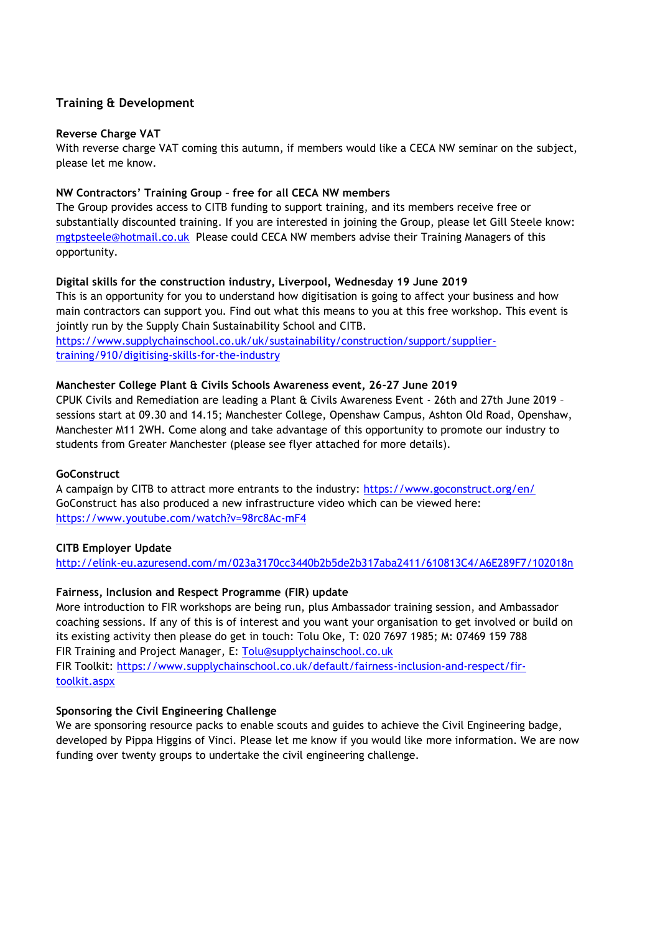# **Training & Development**

# **Reverse Charge VAT**

With reverse charge VAT coming this autumn, if members would like a CECA NW seminar on the subject, please let me know.

# **NW Contractors' Training Group – free for all CECA NW members**

The Group provides access to CITB funding to support training, and its members receive free or substantially discounted training. If you are interested in joining the Group, please let Gill Steele know: [mgtpsteele@hotmail.co.uk](mailto:mgtpsteele@hotmail.co.uk) Please could CECA NW members advise their Training Managers of this opportunity.

# **Digital skills for the construction industry, Liverpool, Wednesday 19 June 2019**

This is an opportunity for you to understand how digitisation is going to affect your business and how main contractors can support you. Find out what this means to you at this free workshop. This event is jointly run by the Supply Chain Sustainability School and CITB.

[https://www.supplychainschool.co.uk/uk/sustainability/construction/support/supplier](https://www.supplychainschool.co.uk/uk/sustainability/construction/support/supplier-training/910/digitising-skills-for-the-industry)[training/910/digitising-skills-for-the-industry](https://www.supplychainschool.co.uk/uk/sustainability/construction/support/supplier-training/910/digitising-skills-for-the-industry)

# **Manchester College Plant & Civils Schools Awareness event, 26-27 June 2019**

CPUK Civils and Remediation are leading a Plant & Civils Awareness Event - 26th and 27th June 2019 – sessions start at 09.30 and 14.15; Manchester College, Openshaw Campus, Ashton Old Road, Openshaw, Manchester M11 2WH. Come along and take advantage of this opportunity to promote our industry to students from Greater Manchester (please see flyer attached for more details).

# **GoConstruct**

A campaign by CITB to attract more entrants to the industry:<https://www.goconstruct.org/en/> GoConstruct has also produced a new infrastructure video which can be viewed here: <https://www.youtube.com/watch?v=98rc8Ac-mF4>

# **CITB Employer Update**

<http://elink-eu.azuresend.com/m/023a3170cc3440b2b5de2b317aba2411/610813C4/A6E289F7/102018n>

# **Fairness, Inclusion and Respect Programme (FIR) update**

More introduction to FIR workshops are being run, plus Ambassador training session, and Ambassador coaching sessions. If any of this is of interest and you want your organisation to get involved or build on its existing activity then please do get in touch: Tolu Oke, T: 020 7697 1985; M: 07469 159 788 FIR Training and Project Manager, E: [Tolu@supplychainschool.co.uk](mailto:Tolu@supplychainschool.co.uk) FIR Toolkit: [https://www.supplychainschool.co.uk/default/fairness-inclusion-and-respect/fir](https://www.supplychainschool.co.uk/default/fairness-inclusion-and-respect/fir-toolkit.aspx)[toolkit.aspx](https://www.supplychainschool.co.uk/default/fairness-inclusion-and-respect/fir-toolkit.aspx)

# **Sponsoring the Civil Engineering Challenge**

We are sponsoring resource packs to enable scouts and guides to achieve the Civil Engineering badge, developed by Pippa Higgins of Vinci. Please let me know if you would like more information. We are now funding over twenty groups to undertake the civil engineering challenge.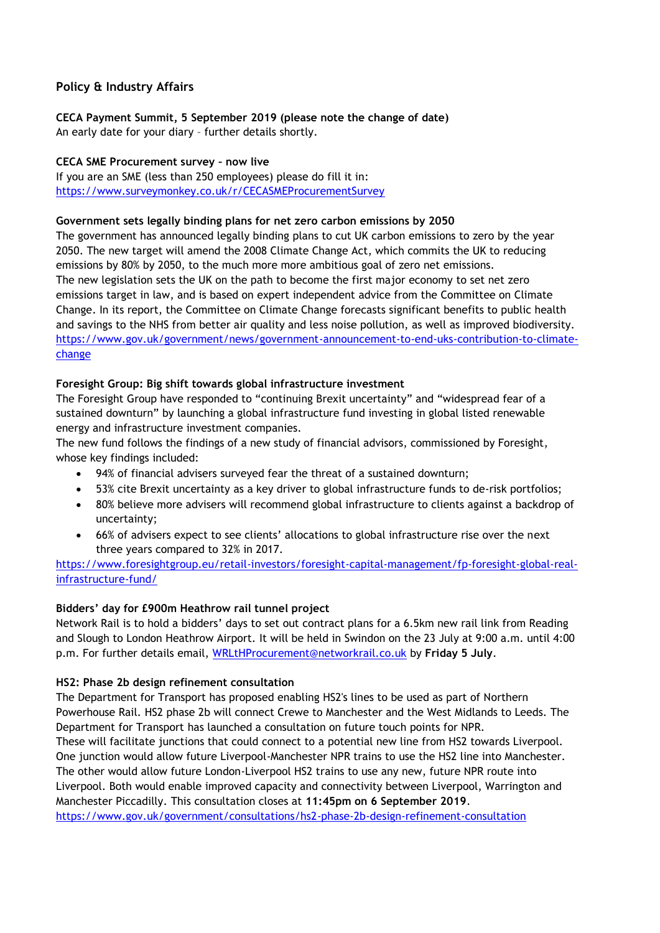# **Policy & Industry Affairs**

# **CECA Payment Summit, 5 September 2019 (please note the change of date)**

An early date for your diary – further details shortly.

# **CECA SME Procurement survey – now live**

If you are an SME (less than 250 employees) please do fill it in: <https://www.surveymonkey.co.uk/r/CECASMEProcurementSurvey>

# **Government sets legally binding plans for net zero carbon emissions by 2050**

The government has announced legally binding plans to cut UK carbon emissions to zero by the year 2050. The new target will amend the 2008 Climate Change Act, which commits the UK to reducing emissions by 80% by 2050, to the much more more ambitious goal of zero net emissions. The new legislation sets the UK on the path to become the first major economy to set net zero emissions target in law, and is based on expert independent advice from the Committee on Climate Change. In its report, the Committee on Climate Change forecasts significant benefits to public health and savings to the NHS from better air quality and less noise pollution, as well as improved biodiversity. [https://www.gov.uk/government/news/government-announcement-to-end-uks-contribution-to-climate](https://www.gov.uk/government/news/government-announcement-to-end-uks-contribution-to-climate-change)[change](https://www.gov.uk/government/news/government-announcement-to-end-uks-contribution-to-climate-change)

# **Foresight Group: Big shift towards global infrastructure investment**

The Foresight Group have responded to "continuing Brexit uncertainty" and "widespread fear of a sustained downturn" by launching a global infrastructure fund investing in global listed renewable energy and infrastructure investment companies.

The new fund follows the findings of a new study of financial advisors, commissioned by Foresight, whose key findings included:

- 94% of financial advisers surveyed fear the threat of a sustained downturn;
- 53% cite Brexit uncertainty as a key driver to global infrastructure funds to de-risk portfolios;
- 80% believe more advisers will recommend global infrastructure to clients against a backdrop of uncertainty;
- 66% of advisers expect to see clients' allocations to global infrastructure rise over the next three years compared to 32% in 2017.

[https://www.foresightgroup.eu/retail-investors/foresight-capital-management/fp-foresight-global-real](https://www.foresightgroup.eu/retail-investors/foresight-capital-management/fp-foresight-global-real-infrastructure-fund/)[infrastructure-fund/](https://www.foresightgroup.eu/retail-investors/foresight-capital-management/fp-foresight-global-real-infrastructure-fund/)

# **Bidders' day for £900m Heathrow rail tunnel project**

Network Rail is to hold a bidders' days to set out contract plans for a 6.5km new rail link from Reading and Slough to London Heathrow Airport. It will be held in Swindon on the 23 July at 9:00 a.m. until 4:00 p.m. For further details email, [WRLtHProcurement@networkrail.co.uk](mailto:WRLtHProcurement@networkrail.co.uk) by **Friday 5 July**.

# **HS2: Phase 2b design refinement consultation**

The Department for Transport has proposed enabling HS2's lines to be used as part of Northern Powerhouse Rail. HS2 phase 2b will connect Crewe to Manchester and the West Midlands to Leeds. The Department for Transport has launched a consultation on future touch points for NPR. These will facilitate junctions that could connect to a potential new line from HS2 towards Liverpool. One junction would allow future Liverpool-Manchester NPR trains to use the HS2 line into Manchester. The other would allow future London-Liverpool HS2 trains to use any new, future NPR route into Liverpool. Both would enable improved capacity and connectivity between Liverpool, Warrington and Manchester Piccadilly. This consultation closes at **11:45pm on 6 September 2019**. <https://www.gov.uk/government/consultations/hs2-phase-2b-design-refinement-consultation>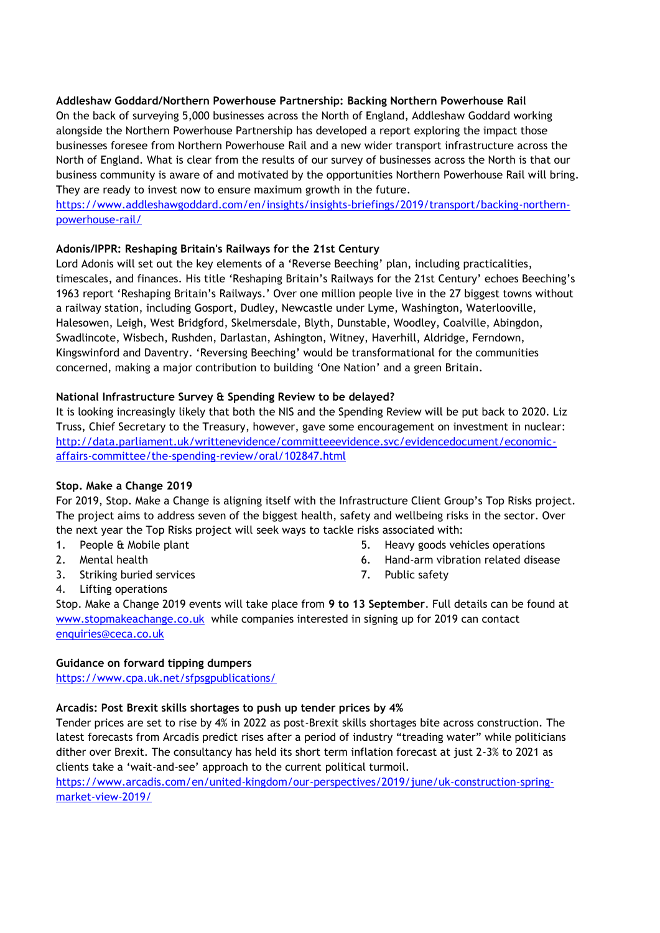# **Addleshaw Goddard/Northern Powerhouse Partnership: Backing Northern Powerhouse Rail**

On the back of surveying 5,000 businesses across the North of England, Addleshaw Goddard working alongside the Northern Powerhouse Partnership has developed a report exploring the impact those businesses foresee from Northern Powerhouse Rail and a new wider transport infrastructure across the North of England. What is clear from the results of our survey of businesses across the North is that our business community is aware of and motivated by the opportunities Northern Powerhouse Rail will bring. They are ready to invest now to ensure maximum growth in the future.

# [https://www.addleshawgoddard.com/en/insights/insights-briefings/2019/transport/backing-northern](https://www.addleshawgoddard.com/en/insights/insights-briefings/2019/transport/backing-northern-powerhouse-rail/)[powerhouse-rail/](https://www.addleshawgoddard.com/en/insights/insights-briefings/2019/transport/backing-northern-powerhouse-rail/)

# **Adonis/IPPR: Reshaping Britain's Railways for the 21st Century**

Lord Adonis will set out the key elements of a 'Reverse Beeching' plan, including practicalities, timescales, and finances. His title 'Reshaping Britain's Railways for the 21st Century' echoes Beeching's 1963 report 'Reshaping Britain's Railways.' Over one million people live in the 27 biggest towns without a railway station, including Gosport, Dudley, Newcastle under Lyme, Washington, Waterlooville, Halesowen, Leigh, West Bridgford, Skelmersdale, Blyth, Dunstable, Woodley, Coalville, Abingdon, Swadlincote, Wisbech, Rushden, Darlastan, Ashington, Witney, Haverhill, Aldridge, Ferndown, Kingswinford and Daventry. 'Reversing Beeching' would be transformational for the communities concerned, making a major contribution to building 'One Nation' and a green Britain.

# **National Infrastructure Survey & Spending Review to be delayed?**

It is looking increasingly likely that both the NIS and the Spending Review will be put back to 2020. Liz Truss, Chief Secretary to the Treasury, however, gave some encouragement on investment in nuclear: [http://data.parliament.uk/writtenevidence/committeeevidence.svc/evidencedocument/economic](http://data.parliament.uk/writtenevidence/committeeevidence.svc/evidencedocument/economic-affairs-committee/the-spending-review/oral/102847.html)[affairs-committee/the-spending-review/oral/102847.html](http://data.parliament.uk/writtenevidence/committeeevidence.svc/evidencedocument/economic-affairs-committee/the-spending-review/oral/102847.html)

# **Stop. Make a Change 2019**

For 2019, Stop. Make a Change is aligning itself with the Infrastructure Client Group's Top Risks project. The project aims to address seven of the biggest health, safety and wellbeing risks in the sector. Over the next year the Top Risks project will seek ways to tackle risks associated with:

- 1. People & Mobile plant
- 2. Mental health
- 3. Striking buried services
- 5. Heavy goods vehicles operations
- 6. Hand-arm vibration related disease
- 7. Public safety

4. Lifting operations

Stop. Make a Change 2019 events will take place from **9 to 13 September**. Full details can be found at [www.stopmakeachange.co.uk](http://www.stopmakeachange.co.uk/) while companies interested in signing up for 2019 can contact [enquiries@ceca.co.uk](mailto:enquiries@ceca.co.uk)

# **Guidance on forward tipping dumpers**

<https://www.cpa.uk.net/sfpsgpublications/>

# **Arcadis: Post Brexit skills shortages to push up tender prices by 4%**

Tender prices are set to rise by 4% in 2022 as post-Brexit skills shortages bite across construction. The latest forecasts from Arcadis predict rises after a period of industry "treading water" while politicians dither over Brexit. The consultancy has held its short term inflation forecast at just 2-3% to 2021 as clients take a 'wait-and-see' approach to the current political turmoil.

[https://www.arcadis.com/en/united-kingdom/our-perspectives/2019/june/uk-construction-spring](https://www.arcadis.com/en/united-kingdom/our-perspectives/2019/june/uk-construction-spring-market-view-2019/)[market-view-2019/](https://www.arcadis.com/en/united-kingdom/our-perspectives/2019/june/uk-construction-spring-market-view-2019/)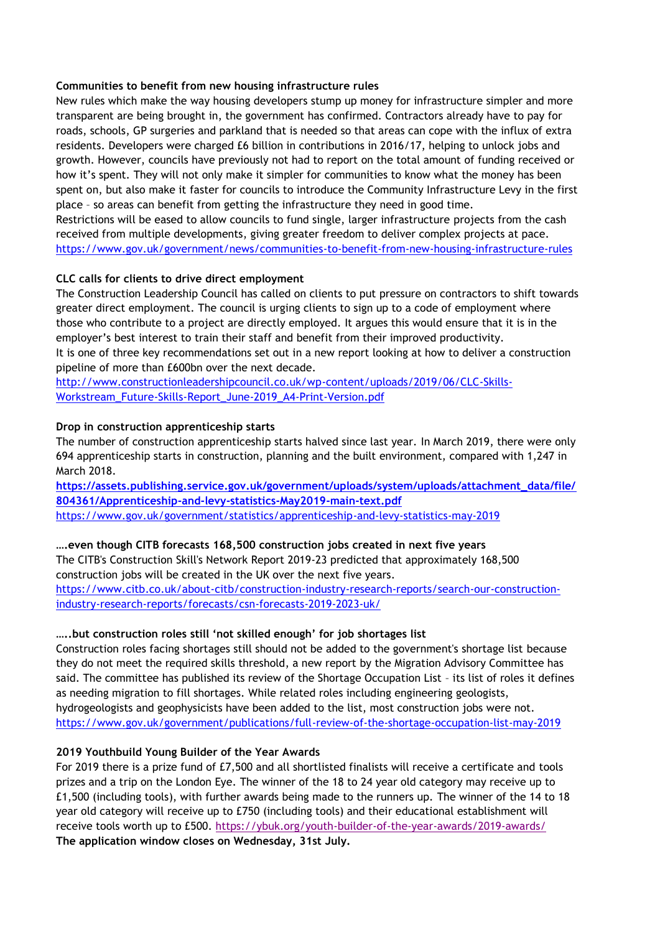# **Communities to benefit from new housing infrastructure rules**

New rules which make the way housing developers stump up money for infrastructure simpler and more transparent are being brought in, the government has confirmed. Contractors already have to pay for roads, schools, GP surgeries and parkland that is needed so that areas can cope with the influx of extra residents. Developers were charged £6 billion in contributions in 2016/17, helping to unlock jobs and growth. However, councils have previously not had to report on the total amount of funding received or how it's spent. They will not only make it simpler for communities to know what the money has been spent on, but also make it faster for councils to introduce the Community Infrastructure Levy in the first place – so areas can benefit from getting the infrastructure they need in good time.

Restrictions will be eased to allow councils to fund single, larger infrastructure projects from the cash received from multiple developments, giving greater freedom to deliver complex projects at pace. <https://www.gov.uk/government/news/communities-to-benefit-from-new-housing-infrastructure-rules>

# **CLC calls for clients to drive direct employment**

The Construction Leadership Council has called on clients to put pressure on contractors to shift towards greater direct employment. The council is urging clients to sign up to a code of employment where those who contribute to a project are directly employed. It argues this would ensure that it is in the employer's best interest to train their staff and benefit from their improved productivity. It is one of three key recommendations set out in a new report looking at how to deliver a construction pipeline of more than £600bn over the next decade.

[http://www.constructionleadershipcouncil.co.uk/wp-content/uploads/2019/06/CLC-Skills-](http://www.constructionleadershipcouncil.co.uk/wp-content/uploads/2019/06/CLC-Skills-Workstream_Future-Skills-Report_June-2019_A4-Print-Version.pdf)[Workstream\\_Future-Skills-Report\\_June-2019\\_A4-Print-Version.pdf](http://www.constructionleadershipcouncil.co.uk/wp-content/uploads/2019/06/CLC-Skills-Workstream_Future-Skills-Report_June-2019_A4-Print-Version.pdf)

# **Drop in construction apprenticeship starts**

The number of construction apprenticeship starts halved since last year. In March 2019, there were only 694 apprenticeship starts in construction, planning and the built environment, compared with 1,247 in March 2018.

**[https://assets.publishing.service.gov.uk/government/uploads/system/uploads/attachment\\_data/file/](https://assets.publishing.service.gov.uk/government/uploads/system/uploads/attachment_data/file/804361/Apprenticeship-and-levy-statistics-May2019-main-text.pdf) [804361/Apprenticeship-and-levy-statistics-May2019-main-text.pdf](https://assets.publishing.service.gov.uk/government/uploads/system/uploads/attachment_data/file/804361/Apprenticeship-and-levy-statistics-May2019-main-text.pdf)** <https://www.gov.uk/government/statistics/apprenticeship-and-levy-statistics-may-2019>

# **….even though CITB forecasts 168,500 construction jobs created in next five years**

The CITB's Construction Skill's Network Report 2019-23 predicted that approximately 168,500 construction jobs will be created in the UK over the next five years. [https://www.citb.co.uk/about-citb/construction-industry-research-reports/search-our-construction](https://www.citb.co.uk/about-citb/construction-industry-research-reports/search-our-construction-industry-research-reports/forecasts/csn-forecasts-2019-2023-uk/)[industry-research-reports/forecasts/csn-forecasts-2019-2023-uk/](https://www.citb.co.uk/about-citb/construction-industry-research-reports/search-our-construction-industry-research-reports/forecasts/csn-forecasts-2019-2023-uk/)

# **…..but construction roles still 'not skilled enough' for job shortages list**

Construction roles facing shortages still should not be added to the government's shortage list because they do not meet the required skills threshold, a new report by the Migration Advisory Committee has said. The committee has published its review of the Shortage Occupation List – its list of roles it defines as needing migration to fill shortages. While related roles including engineering geologists, hydrogeologists and geophysicists have been added to the list, most construction jobs were not. <https://www.gov.uk/government/publications/full-review-of-the-shortage-occupation-list-may-2019>

# **2019 Youthbuild Young Builder of the Year Awards**

For 2019 there is a prize fund of £7,500 and all shortlisted finalists will receive a certificate and tools prizes and a trip on the London Eye. The winner of the 18 to 24 year old category may receive up to £1,500 (including tools), with further awards being made to the runners up. The winner of the 14 to 18 year old category will receive up to £750 (including tools) and their educational establishment will receive tools worth up to £500. <https://ybuk.org/youth-builder-of-the-year-awards/2019-awards/> **The application window closes on Wednesday, 31st July.**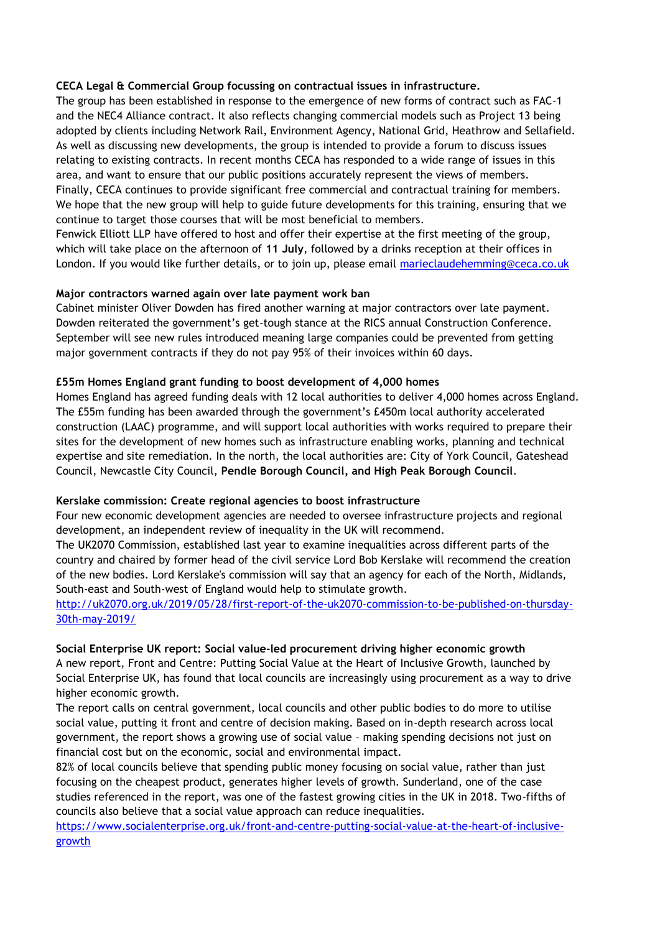# **CECA Legal & Commercial Group focussing on contractual issues in infrastructure.**

The group has been established in response to the emergence of new forms of contract such as FAC-1 and the NEC4 Alliance contract. It also reflects changing commercial models such as Project 13 being adopted by clients including Network Rail, Environment Agency, National Grid, Heathrow and Sellafield. As well as discussing new developments, the group is intended to provide a forum to discuss issues relating to existing contracts. In recent months CECA has responded to a wide range of issues in this area, and want to ensure that our public positions accurately represent the views of members. Finally, CECA continues to provide significant free commercial and contractual training for members. We hope that the new group will help to guide future developments for this training, ensuring that we continue to target those courses that will be most beneficial to members.

Fenwick Elliott LLP have offered to host and offer their expertise at the first meeting of the group, which will take place on the afternoon of **11 July**, followed by a drinks reception at their offices in London. If you would like further details, or to join up, please email [marieclaudehemming@ceca.co.uk](mailto:marieclaudehemming@ceca.co.uk)

# **Major contractors warned again over late payment work ban**

Cabinet minister Oliver Dowden has fired another warning at major contractors over late payment. Dowden reiterated the government's get-tough stance at the RICS annual Construction Conference. September will see new rules introduced meaning large companies could be prevented from getting major government contracts if they do not pay 95% of their invoices within 60 days.

# **£55m Homes England grant funding to boost development of 4,000 homes**

Homes England has agreed funding deals with 12 local authorities to deliver 4,000 homes across England. The £55m funding has been awarded through the government's £450m local authority accelerated construction (LAAC) programme, and will support local authorities with works required to prepare their sites for the development of new homes such as infrastructure enabling works, planning and technical expertise and site remediation. In the north, the local authorities are: City of York Council, Gateshead Council, Newcastle City Council, **Pendle Borough Council, and High Peak Borough Council**.

# **Kerslake commission: Create regional agencies to boost infrastructure**

Four new economic development agencies are needed to oversee infrastructure projects and regional development, an independent review of inequality in the UK will recommend.

The UK2070 Commission, established last year to examine inequalities across different parts of the country and chaired by former head of the civil service Lord Bob Kerslake will recommend the creation of the new bodies. Lord Kerslake's commission will say that an agency for each of the North, Midlands, South-east and South-west of England would help to stimulate growth.

# [http://uk2070.org.uk/2019/05/28/first-report-of-the-uk2070-commission-to-be-published-on-thursday-](http://uk2070.org.uk/2019/05/28/first-report-of-the-uk2070-commission-to-be-published-on-thursday-30th-may-2019/)[30th-may-2019/](http://uk2070.org.uk/2019/05/28/first-report-of-the-uk2070-commission-to-be-published-on-thursday-30th-may-2019/)

# **Social Enterprise UK report: Social value-led procurement driving higher economic growth**

A new report, Front and Centre: Putting Social Value at the Heart of Inclusive Growth, launched by Social Enterprise UK, has found that local councils are increasingly using procurement as a way to drive higher economic growth.

The report calls on central government, local councils and other public bodies to do more to utilise social value, putting it front and centre of decision making. Based on in-depth research across local government, the report shows a growing use of social value – making spending decisions not just on financial cost but on the economic, social and environmental impact.

82% of local councils believe that spending public money focusing on social value, rather than just focusing on the cheapest product, generates higher levels of growth. Sunderland, one of the case studies referenced in the report, was one of the fastest growing cities in the UK in 2018. Two-fifths of councils also believe that a social value approach can reduce inequalities.

[https://www.socialenterprise.org.uk/front-and-centre-putting-social-value-at-the-heart-of-inclusive](https://www.socialenterprise.org.uk/front-and-centre-putting-social-value-at-the-heart-of-inclusive-growth)[growth](https://www.socialenterprise.org.uk/front-and-centre-putting-social-value-at-the-heart-of-inclusive-growth)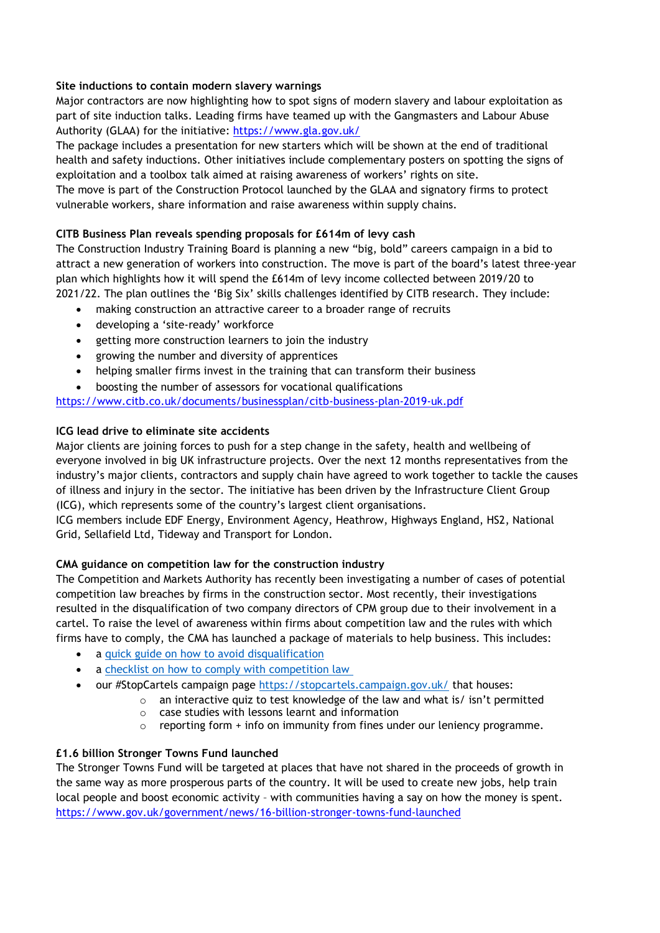# **Site inductions to contain modern slavery warnings**

Major contractors are now highlighting how to spot signs of modern slavery and labour exploitation as part of site induction talks. Leading firms have teamed up with the Gangmasters and Labour Abuse Authority (GLAA) for the initiative:<https://www.gla.gov.uk/>

The package includes a presentation for new starters which will be shown at the end of traditional health and safety inductions. Other initiatives include complementary posters on spotting the signs of exploitation and a toolbox talk aimed at raising awareness of workers' rights on site.

The move is part of the Construction Protocol launched by the GLAA and signatory firms to protect vulnerable workers, share information and raise awareness within supply chains.

# **CITB Business Plan reveals spending proposals for £614m of levy cash**

The Construction Industry Training Board is planning a new "big, bold" careers campaign in a bid to attract a new generation of workers into construction. The move is part of the board's latest three-year plan which highlights how it will spend the £614m of levy income collected between 2019/20 to 2021/22. The plan outlines the 'Big Six' skills challenges identified by CITB research. They include:

- making construction an attractive career to a broader range of recruits
- developing a 'site-ready' workforce
- getting more construction learners to join the industry
- growing the number and diversity of apprentices
- helping smaller firms invest in the training that can transform their business
- boosting the number of assessors for vocational qualifications

# <https://www.citb.co.uk/documents/businessplan/citb-business-plan-2019-uk.pdf>

# **ICG lead drive to eliminate site accidents**

Major clients are joining forces to push for a step change in the safety, health and wellbeing of everyone involved in big UK infrastructure projects. Over the next 12 months representatives from the industry's major clients, contractors and supply chain have agreed to work together to tackle the causes of illness and injury in the sector. The initiative has been driven by the Infrastructure Client Group (ICG), which represents some of the country's largest client organisations.

ICG members include EDF Energy, Environment Agency, Heathrow, Highways England, HS2, National Grid, Sellafield Ltd, Tideway and Transport for London.

# **CMA guidance on competition law for the construction industry**

The Competition and Markets Authority has recently been investigating a number of cases of potential competition law breaches by firms in the construction sector. Most recently, their investigations resulted in the disqualification of two company directors of CPM group due to their involvement in a cartel. To raise the level of awareness within firms about competition law and the rules with which firms have to comply, the CMA has launched a package of materials to help business. This includes:

- a [quick guide on how to avoid disqualification](https://eur02.safelinks.protection.outlook.com/?url=https%3A%2F%2Fwww.gov.uk%2Fgovernment%2Fpublications%2Fadvice-for-company-directors-on-avoiding-cartel-infringements%2Favoiding-disqualification-advice-for-company-directors&data=02%7C01%7Cfergus.harradence%40beis.gov.uk%7Cd1486b60e40443643cac08d6ccac89fc%7Ccbac700502c143ebb497e6492d1b2dd8%7C0%7C0%7C636921438762752346&sdata=FcQRCPFhJ02WxRzSvRZI%2FruXYLZFvsVboqiVEcVRLEM%3D&reserved=0)
- a checklist on how to comply with competition law
- our #StopCartels campaign page [https://stopcartels.campaign.gov.uk/](https://eur02.safelinks.protection.outlook.com/?url=https%3A%2F%2Fstopcartels.campaign.gov.uk%2F&data=02%7C01%7Cfergus.harradence%40beis.gov.uk%7Cd1486b60e40443643cac08d6ccac89fc%7Ccbac700502c143ebb497e6492d1b2dd8%7C0%7C0%7C636921438762762355&sdata=u4S460%2FFTtncu2pHPnsFYu52%2By6Ot8reN%2F%2FwD5wSgOY%3D&reserved=0) that houses:
	- o an interactive quiz to test knowledge of the law and what is/ isn't permitted
	- o case studies with lessons learnt and information
	- o reporting form + info on immunity from fines under our leniency programme.

# **£1.6 billion Stronger Towns Fund launched**

The Stronger Towns Fund will be targeted at places that have not shared in the proceeds of growth in the same way as more prosperous parts of the country. It will be used to create new jobs, help train local people and boost economic activity – with communities having a say on how the money is spent. <https://www.gov.uk/government/news/16-billion-stronger-towns-fund-launched>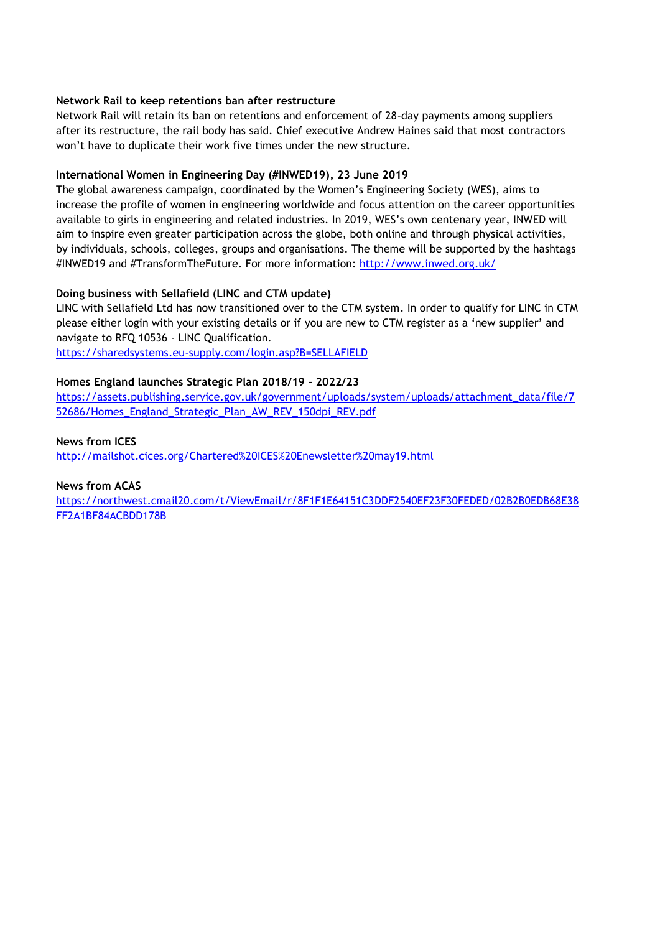# **Network Rail to keep retentions ban after restructure**

Network Rail will retain its ban on retentions and enforcement of 28-day payments among suppliers after its restructure, the rail body has said. Chief executive Andrew Haines said that most contractors won't have to duplicate their work five times under the new structure.

# **International Women in Engineering Day (#INWED19), 23 June 2019**

The global awareness campaign, coordinated by the Women's Engineering Society (WES), aims to increase the profile of women in engineering worldwide and focus attention on the career opportunities available to girls in engineering and related industries. In 2019, WES's own centenary year, INWED will aim to inspire even greater participation across the globe, both online and through physical activities, by individuals, schools, colleges, groups and organisations. The theme will be supported by the hashtags #INWED19 and #TransformTheFuture. For more information:<http://www.inwed.org.uk/>

# **Doing business with Sellafield (LINC and CTM update)**

LINC with Sellafield Ltd has now transitioned over to the CTM system. In order to qualify for LINC in CTM please either login with your existing details or if you are new to CTM register as a 'new supplier' and navigate to RFQ 10536 - LINC Qualification.

<https://sharedsystems.eu-supply.com/login.asp?B=SELLAFIELD>

# **Homes England launches Strategic Plan 2018/19 – 2022/23**

[https://assets.publishing.service.gov.uk/government/uploads/system/uploads/attachment\\_data/file/7](https://assets.publishing.service.gov.uk/government/uploads/system/uploads/attachment_data/file/752686/Homes_England_Strategic_Plan_AW_REV_150dpi_REV.pdf) [52686/Homes\\_England\\_Strategic\\_Plan\\_AW\\_REV\\_150dpi\\_REV.pdf](https://assets.publishing.service.gov.uk/government/uploads/system/uploads/attachment_data/file/752686/Homes_England_Strategic_Plan_AW_REV_150dpi_REV.pdf)

**News from ICES** <http://mailshot.cices.org/Chartered%20ICES%20Enewsletter%20may19.html>

# **News from ACAS**

[https://northwest.cmail20.com/t/ViewEmail/r/8F1F1E64151C3DDF2540EF23F30FEDED/02B2B0EDB68E38](https://northwest.cmail20.com/t/ViewEmail/r/8F1F1E64151C3DDF2540EF23F30FEDED/02B2B0EDB68E38FF2A1BF84ACBDD178B) [FF2A1BF84ACBDD178B](https://northwest.cmail20.com/t/ViewEmail/r/8F1F1E64151C3DDF2540EF23F30FEDED/02B2B0EDB68E38FF2A1BF84ACBDD178B)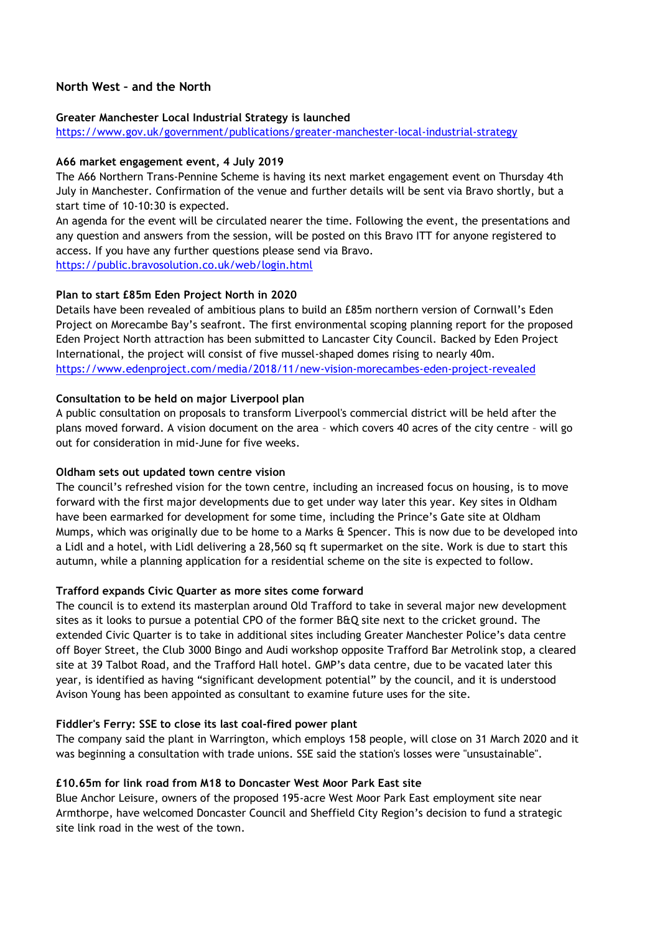# **North West – and the North**

#### **Greater Manchester Local Industrial Strategy is launched**

<https://www.gov.uk/government/publications/greater-manchester-local-industrial-strategy>

#### **A66 market engagement event, 4 July 2019**

The A66 Northern Trans-Pennine Scheme is having its next market engagement event on Thursday 4th July in Manchester. Confirmation of the venue and further details will be sent via Bravo shortly, but a start time of 10-10:30 is expected.

An agenda for the event will be circulated nearer the time. Following the event, the presentations and any question and answers from the session, will be posted on this Bravo ITT for anyone registered to access. If you have any further questions please send via Bravo. <https://public.bravosolution.co.uk/web/login.html>

# **Plan to start £85m Eden Project North in 2020**

Details have been revealed of ambitious plans to build an £85m northern version of Cornwall's Eden Project on Morecambe Bay's seafront. The first environmental scoping planning report for the proposed Eden Project North attraction has been submitted to Lancaster City Council. Backed by Eden Project International, the project will consist of five mussel-shaped domes rising to nearly 40m. <https://www.edenproject.com/media/2018/11/new-vision-morecambes-eden-project-revealed>

# **Consultation to be held on major Liverpool plan**

A public consultation on proposals to transform Liverpool's commercial district will be held after the plans moved forward. A vision document on the area – which covers 40 acres of the city centre – will go out for consideration in mid-June for five weeks.

#### **Oldham sets out updated town centre vision**

The council's refreshed vision for the town centre, including an increased focus on housing, is to move forward with the first major developments due to get under way later this year. Key sites in Oldham have been earmarked for development for some time, including the Prince's Gate site at Oldham Mumps, which was originally due to be home to a Marks & Spencer. This is now due to be developed into a Lidl and a hotel, with Lidl delivering a 28,560 sq ft supermarket on the site. Work is due to start this autumn, while a planning application for a residential scheme on the site is expected to follow.

# **Trafford expands Civic Quarter as more sites come forward**

The council is to extend its masterplan around Old Trafford to take in several major new development sites as it looks to pursue a potential CPO of the former B&Q site next to the cricket ground. The extended Civic Quarter is to take in additional sites including Greater Manchester Police's data centre off Boyer Street, the Club 3000 Bingo and Audi workshop opposite Trafford Bar Metrolink stop, a cleared site at 39 Talbot Road, and the Trafford Hall hotel. GMP's data centre, due to be vacated later this year, is identified as having "significant development potential" by the council, and it is understood Avison Young has been appointed as consultant to examine future uses for the site.

# **Fiddler's Ferry: SSE to close its last coal-fired power plant**

The company said the plant in Warrington, which employs 158 people, will close on 31 March 2020 and it was beginning a consultation with trade unions. SSE said the station's losses were "unsustainable".

# **£10.65m for link road from M18 to Doncaster West Moor Park East site**

Blue Anchor Leisure, owners of the proposed 195-acre West Moor Park East employment site near Armthorpe, have welcomed Doncaster Council and Sheffield City Region's decision to fund a strategic site link road in the west of the town.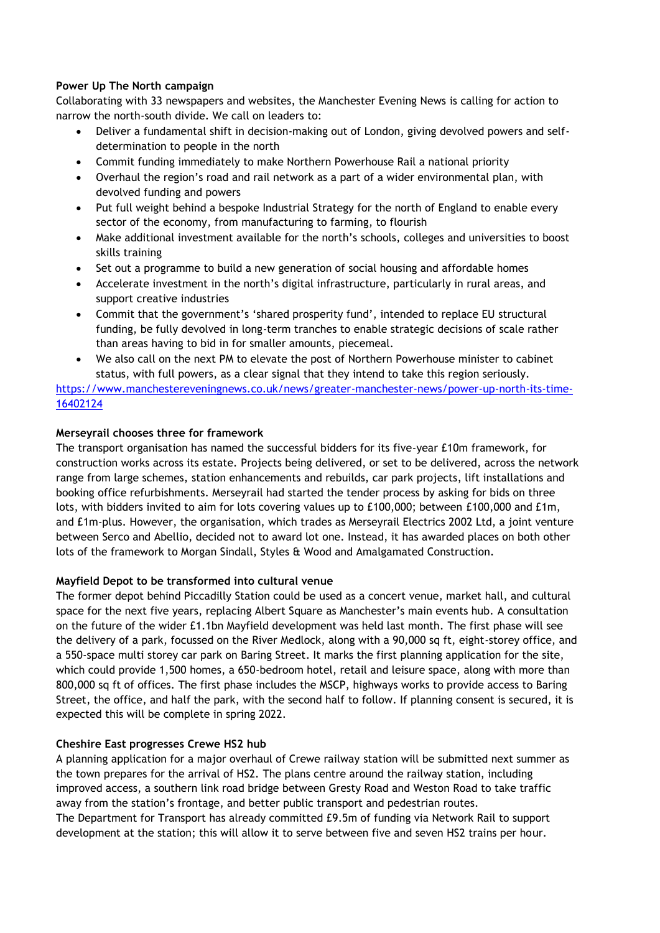# **Power Up The North campaign**

Collaborating with 33 newspapers and websites, the Manchester Evening News is calling for action to narrow the north-south divide. We call on leaders to:

- Deliver a fundamental shift in decision-making out of London, giving devolved powers and selfdetermination to people in the north
- Commit funding immediately to make Northern Powerhouse Rail a national priority
- Overhaul the region's road and rail network as a part of a wider environmental plan, with devolved funding and powers
- Put full weight behind a bespoke Industrial Strategy for the north of England to enable every sector of the economy, from manufacturing to farming, to flourish
- Make additional investment available for the north's schools, colleges and universities to boost skills training
- Set out a programme to build a new generation of social housing and affordable homes
- Accelerate investment in the north's digital infrastructure, particularly in rural areas, and support creative industries
- Commit that the government's 'shared prosperity fund', intended to replace EU structural funding, be fully devolved in long-term tranches to enable strategic decisions of scale rather than areas having to bid in for smaller amounts, piecemeal.
- We also call on the next PM to elevate the post of Northern Powerhouse minister to cabinet status, with full powers, as a clear signal that they intend to take this region seriously.

[https://www.manchestereveningnews.co.uk/news/greater-manchester-news/power-up-north-its-time-](https://www.manchestereveningnews.co.uk/news/greater-manchester-news/power-up-north-its-time-16402124)[16402124](https://www.manchestereveningnews.co.uk/news/greater-manchester-news/power-up-north-its-time-16402124)

# **Merseyrail chooses three for framework**

The transport organisation has named the successful bidders for its five-year £10m framework, for construction works across its estate. Projects being delivered, or set to be delivered, across the network range from large schemes, station enhancements and rebuilds, car park projects, lift installations and booking office refurbishments. Merseyrail had started the tender process by asking for bids on three lots, with bidders invited to aim for lots covering values up to £100,000; between £100,000 and £1m, and £1m-plus. However, the organisation, which trades as Merseyrail Electrics 2002 Ltd, a joint venture between Serco and Abellio, decided not to award lot one. Instead, it has awarded places on both other lots of the framework to Morgan Sindall, Styles & Wood and Amalgamated Construction.

# **Mayfield Depot to be transformed into cultural venue**

The former depot behind Piccadilly Station could be used as a concert venue, market hall, and cultural space for the next five years, replacing Albert Square as Manchester's main events hub. A consultation on the future of the wider £1.1bn Mayfield development was held last month. The first phase will see the delivery of a park, focussed on the River Medlock, along with a 90,000 sq ft, eight-storey office, and a 550-space multi storey car park on Baring Street. It marks the first planning application for the site, which could provide 1,500 homes, a 650-bedroom hotel, retail and leisure space, along with more than 800,000 sq ft of offices. The first phase includes the MSCP, highways works to provide access to Baring Street, the office, and half the park, with the second half to follow. If planning consent is secured, it is expected this will be complete in spring 2022.

# **Cheshire East progresses Crewe HS2 hub**

A planning application for a major overhaul of Crewe railway station will be submitted next summer as the town prepares for the arrival of HS2. The plans centre around the railway station, including improved access, a southern link road bridge between Gresty Road and Weston Road to take traffic away from the station's frontage, and better public transport and pedestrian routes. The Department for Transport has already committed £9.5m of funding via Network Rail to support development at the station; this will allow it to serve between five and seven HS2 trains per hour.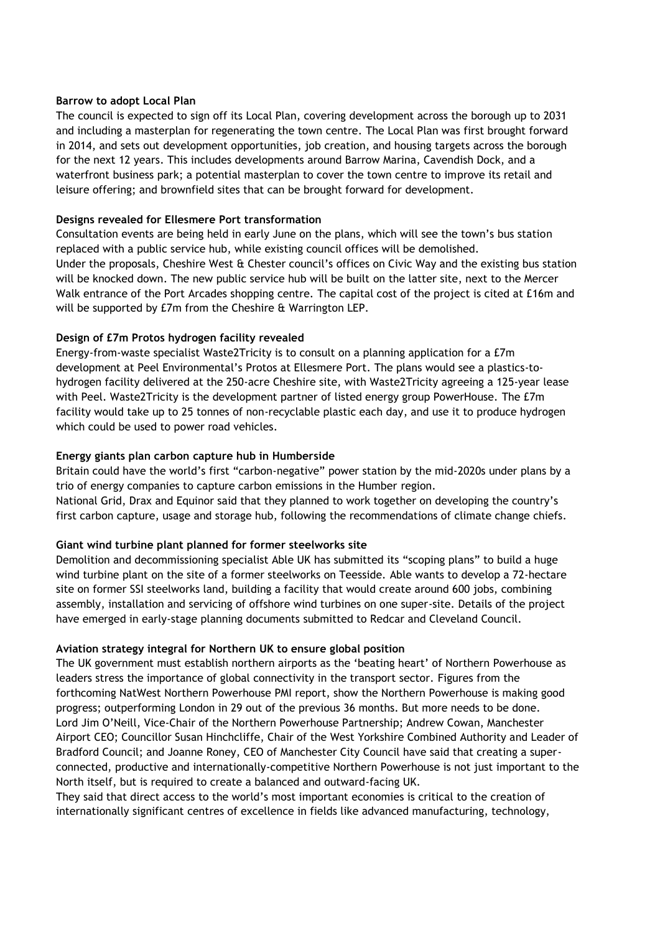#### **Barrow to adopt Local Plan**

The council is expected to sign off its Local Plan, covering development across the borough up to 2031 and including a masterplan for regenerating the town centre. The Local Plan was first brought forward in 2014, and sets out development opportunities, job creation, and housing targets across the borough for the next 12 years. This includes developments around Barrow Marina, Cavendish Dock, and a waterfront business park; a potential masterplan to cover the town centre to improve its retail and leisure offering; and brownfield sites that can be brought forward for development.

# **Designs revealed for Ellesmere Port transformation**

Consultation events are being held in early June on the plans, which will see the town's bus station replaced with a public service hub, while existing council offices will be demolished. Under the proposals, Cheshire West & Chester council's offices on Civic Way and the existing bus station will be knocked down. The new public service hub will be built on the latter site, next to the Mercer Walk entrance of the Port Arcades shopping centre. The capital cost of the project is cited at £16m and will be supported by £7m from the Cheshire & Warrington LEP.

# **Design of £7m Protos hydrogen facility revealed**

Energy-from-waste specialist Waste2Tricity is to consult on a planning application for a £7m development at Peel Environmental's Protos at Ellesmere Port. The plans would see a plastics-tohydrogen facility delivered at the 250-acre Cheshire site, with Waste2Tricity agreeing a 125-year lease with Peel. Waste2Tricity is the development partner of listed energy group PowerHouse. The £7m facility would take up to 25 tonnes of non-recyclable plastic each day, and use it to produce hydrogen which could be used to power road vehicles.

# **Energy giants plan carbon capture hub in Humberside**

Britain could have the world's first "carbon-negative" power station by the mid-2020s under plans by a trio of energy companies to capture carbon emissions in the Humber region. National Grid, Drax and Equinor said that they planned to work together on developing the country's first carbon capture, usage and storage hub, following the recommendations of climate change chiefs.

# **Giant wind turbine plant planned for former steelworks site**

Demolition and decommissioning specialist Able UK has submitted its "scoping plans" to build a huge wind turbine plant on the site of a former steelworks on Teesside. Able wants to develop a 72-hectare site on former SSI steelworks land, building a facility that would create around 600 jobs, combining assembly, installation and servicing of offshore wind turbines on one super-site. Details of the project have emerged in early-stage planning documents submitted to Redcar and Cleveland Council.

# **Aviation strategy integral for Northern UK to ensure global position**

The UK government must establish northern airports as the 'beating heart' of Northern Powerhouse as leaders stress the importance of global connectivity in the transport sector. Figures from the forthcoming NatWest Northern Powerhouse PMI report, show the Northern Powerhouse is making good progress; outperforming London in 29 out of the previous 36 months. But more needs to be done. Lord Jim O'Neill, Vice-Chair of the Northern Powerhouse Partnership; Andrew Cowan, Manchester Airport CEO; Councillor Susan Hinchcliffe, Chair of the West Yorkshire Combined Authority and Leader of Bradford Council; and Joanne Roney, CEO of Manchester City Council have said that creating a superconnected, productive and internationally-competitive Northern Powerhouse is not just important to the North itself, but is required to create a balanced and outward-facing UK.

They said that direct access to the world's most important economies is critical to the creation of internationally significant centres of excellence in fields like advanced manufacturing, technology,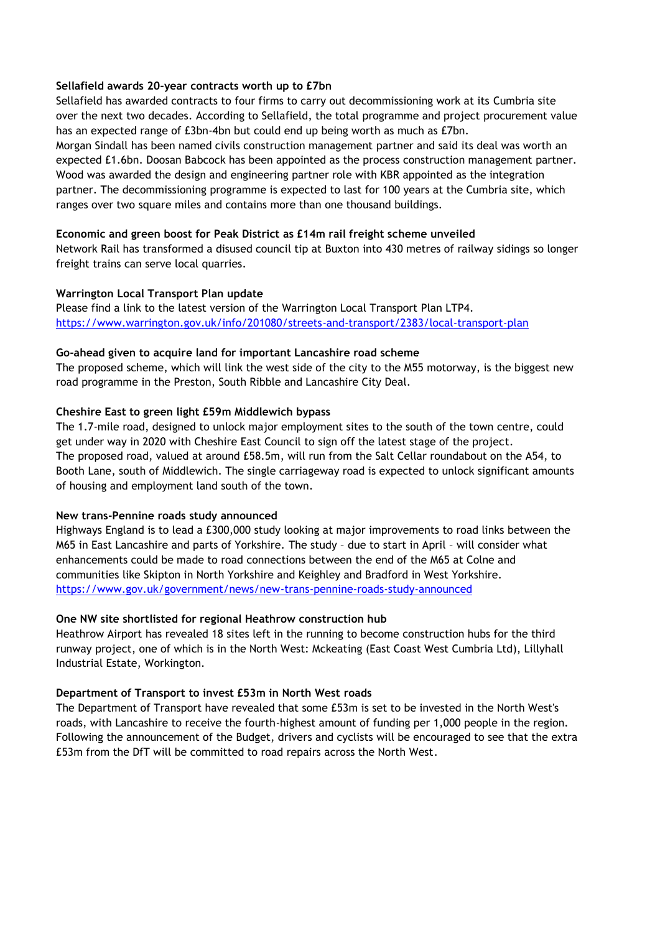# **Sellafield awards 20-year contracts worth up to £7bn**

Sellafield has awarded contracts to four firms to carry out decommissioning work at its Cumbria site over the next two decades. According to Sellafield, the total programme and project procurement value has an expected range of £3bn-4bn but could end up being worth as much as £7bn. Morgan Sindall has been named civils construction management partner and said its deal was worth an expected £1.6bn. Doosan Babcock has been appointed as the process construction management partner. Wood was awarded the design and engineering partner role with KBR appointed as the integration partner. The decommissioning programme is expected to last for 100 years at the Cumbria site, which ranges over two square miles and contains more than one thousand buildings.

# **Economic and green boost for Peak District as £14m rail freight scheme unveiled**

Network Rail has transformed a disused council tip at Buxton into 430 metres of railway sidings so longer freight trains can serve local quarries.

# **Warrington Local Transport Plan update**

Please find a link to the latest version of the Warrington Local Transport Plan LTP4. <https://www.warrington.gov.uk/info/201080/streets-and-transport/2383/local-transport-plan>

#### **Go-ahead given to acquire land for important Lancashire road scheme**

The proposed scheme, which will link the west side of the city to the M55 motorway, is the biggest new road programme in the Preston, South Ribble and Lancashire City Deal.

# **Cheshire East to green light £59m Middlewich bypass**

The 1.7-mile road, designed to unlock major employment sites to the south of the town centre, could get under way in 2020 with Cheshire East Council to sign off the latest stage of the project. The proposed road, valued at around £58.5m, will run from the Salt Cellar roundabout on the A54, to Booth Lane, south of Middlewich. The single carriageway road is expected to unlock significant amounts of housing and employment land south of the town.

# **New trans-Pennine roads study announced**

Highways England is to lead a £300,000 study looking at major improvements to road links between the M65 in East Lancashire and parts of Yorkshire. The study – due to start in April – will consider what enhancements could be made to road connections between the end of the M65 at Colne and communities like Skipton in North Yorkshire and Keighley and Bradford in West Yorkshire. <https://www.gov.uk/government/news/new-trans-pennine-roads-study-announced>

# **One NW site shortlisted for regional Heathrow construction hub**

Heathrow Airport has revealed 18 sites left in the running to become construction hubs for the third runway project, one of which is in the North West: Mckeating (East Coast West Cumbria Ltd), Lillyhall Industrial Estate, Workington.

# **Department of Transport to invest £53m in North West roads**

The Department of Transport have revealed that some £53m is set to be invested in the North West's roads, with Lancashire to receive the fourth-highest amount of funding per 1,000 people in the region. Following the announcement of the Budget, drivers and cyclists will be encouraged to see that the extra £53m from the DfT will be committed to road repairs across the North West.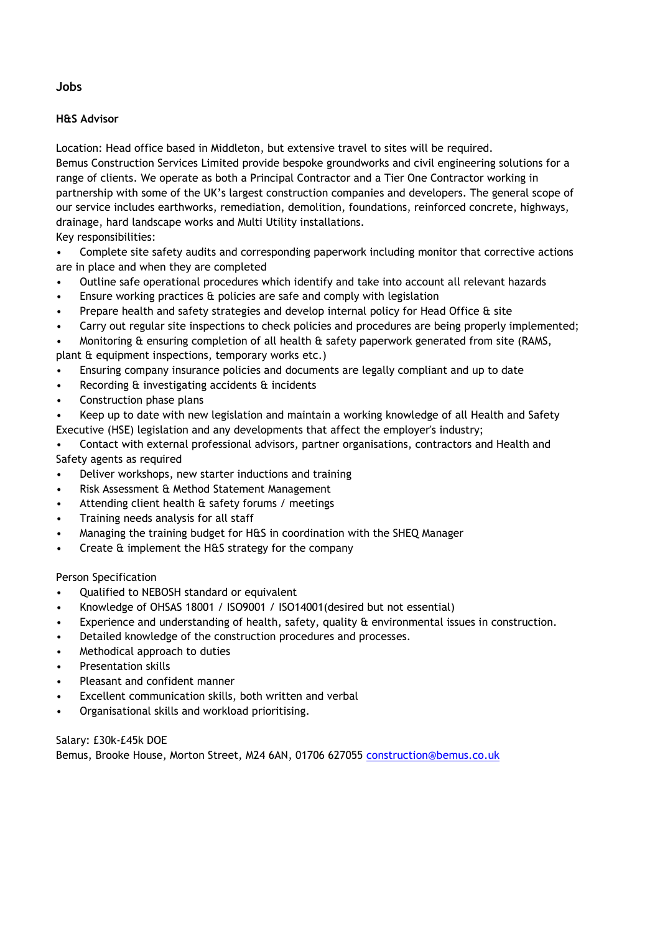**Jobs**

#### **H&S Advisor**

Location: Head office based in Middleton, but extensive travel to sites will be required. Bemus Construction Services Limited provide bespoke groundworks and civil engineering solutions for a range of clients. We operate as both a Principal Contractor and a Tier One Contractor working in partnership with some of the UK's largest construction companies and developers. The general scope of our service includes earthworks, remediation, demolition, foundations, reinforced concrete, highways, drainage, hard landscape works and Multi Utility installations. Key responsibilities:

• Complete site safety audits and corresponding paperwork including monitor that corrective actions are in place and when they are completed

- Outline safe operational procedures which identify and take into account all relevant hazards
- Ensure working practices & policies are safe and comply with legislation
- Prepare health and safety strategies and develop internal policy for Head Office & site
- Carry out regular site inspections to check policies and procedures are being properly implemented;

• Monitoring & ensuring completion of all health & safety paperwork generated from site (RAMS, plant & equipment inspections, temporary works etc.)

- Ensuring company insurance policies and documents are legally compliant and up to date
- Recording & investigating accidents & incidents
- Construction phase plans
- Keep up to date with new legislation and maintain a working knowledge of all Health and Safety Executive (HSE) legislation and any developments that affect the employer's industry;

• Contact with external professional advisors, partner organisations, contractors and Health and Safety agents as required

- Deliver workshops, new starter inductions and training
- Risk Assessment & Method Statement Management
- Attending client health & safety forums / meetings
- Training needs analysis for all staff
- Managing the training budget for H&S in coordination with the SHEQ Manager
- Create & implement the H&S strategy for the company

Person Specification

- Qualified to NEBOSH standard or equivalent
- Knowledge of OHSAS 18001 / ISO9001 / ISO14001(desired but not essential)
- Experience and understanding of health, safety, quality & environmental issues in construction.
- Detailed knowledge of the construction procedures and processes.
- Methodical approach to duties
- Presentation skills
- Pleasant and confident manner
- Excellent communication skills, both written and verbal
- Organisational skills and workload prioritising.

Salary: £30k-£45k DOE Bemus, Brooke House, Morton Street, M24 6AN, 01706 627055 [construction@bemus.co.uk](mailto:construction@bemus.co.uk)